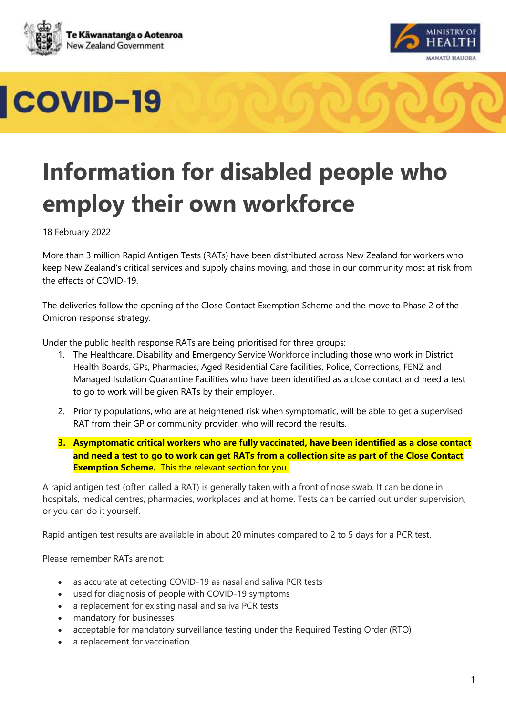





### **Information for disabled people who employ their own workforce**

18 February 2022

More than 3 million Rapid Antigen Tests (RATs) have been distributed across New Zealand for workers who keep New Zealand's critical services and supply chains moving, and those in our community most at risk from the effects of COVID-19.

The deliveries follow the opening of the Close Contact Exemption Scheme and the move to Phase 2 of the Omicron response strategy.

Under the public health response RATs are being prioritised for three groups:

- 1. The Healthcare, Disability and Emergency Service Workforce including those who work in District Health Boards, GPs, Pharmacies, Aged Residential Care facilities, Police, Corrections, FENZ and Managed Isolation Quarantine Facilities who have been identified as a close contact and need a test to go to work will be given RATs by their employer.
- 2. Priority populations, who are at heightened risk when symptomatic, will be able to get a supervised RAT from their GP or community provider, who will record the results.
- **3. Asymptomatic critical workers who are fully vaccinated, have been identified as a close contact and need a test to go to work can get RATs from a collection site as part of the Close Contact Exemption Scheme.** This the relevant section for you.

A rapid antigen test (often called a RAT) is generally taken with a front of nose swab. It can be done in hospitals, medical centres, pharmacies, workplaces and at home. Tests can be carried out under supervision, or you can do it yourself.

Rapid antigen test results are available in about 20 minutes compared to 2 to 5 days for a PCR test.

Please remember RATs are not:

- as accurate at detecting COVID-19 as nasal and saliva PCR tests
- used for diagnosis of people with COVID-19 symptoms
- a replacement for existing nasal and saliva PCR tests
- mandatory for businesses
- acceptable for mandatory surveillance testing under the Required Testing Order (RTO)
- a replacement for vaccination.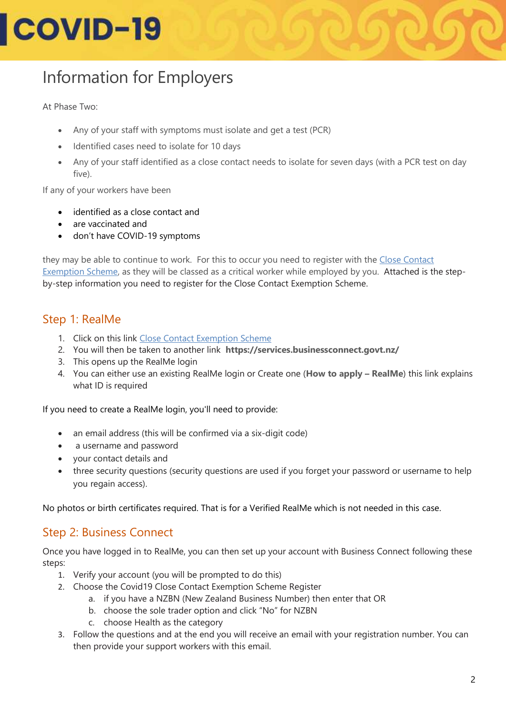## **COVID-19**

### Information for Employers

At Phase Two:

- Any of your staff with symptoms must isolate and get a test (PCR)
- Identified cases need to isolate for 10 days
- Any of your staff identified as a close contact needs to isolate for seven days (with a PCR test on day five).

If any of your workers have been

- identified as a close contact and
- are vaccinated and
- don't have COVID-19 symptoms

they may be able to continue to work. For this to occur you need to register with the [Close Contact](https://www.business.govt.nz/covid-19/close-contact-exemption-scheme/#e-29078)  [Exemption Scheme,](https://www.business.govt.nz/covid-19/close-contact-exemption-scheme/#e-29078) as they will be classed as a critical worker while employed by you. Attached is the stepby-step information you need to register for the Close Contact Exemption Scheme.

#### Step 1: RealMe

- 1. Click on this link [Close Contact Exemption Scheme](https://www.business.govt.nz/covid-19/close-contact-exemption-scheme/#e-29078)
- 2. You will then be taken to another link **<https://services.businessconnect.govt.nz/>**
- 3. This opens up the RealMe login
- 4. You can either use an existing RealMe login or Create one (**[How to apply](https://www.realme.govt.nz/how-apply/) – RealMe**) this link explains what ID is required

If you need to create a RealMe login, you'll need to provide:

- an email address (this will be confirmed via a six-digit code)
- a username and password
- your contact details and
- three security questions (security questions are used if you forget your password or username to help you regain access).

No photos or birth certificates required. That is for a Verified RealMe which is not needed in this case.

#### Step 2: Business Connect

Once you have logged in to RealMe, you can then set up your account with Business Connect following these steps:

- 1. Verify your account (you will be prompted to do this)
- 2. Choose the Covid19 Close Contact Exemption Scheme Register
	- a. if you have a NZBN (New Zealand Business Number) then enter that OR
	- b. choose the sole trader option and click "No" for NZBN
	- c. choose Health as the category
- 3. Follow the questions and at the end you will receive an email with your registration number. You can then provide your support workers with this email.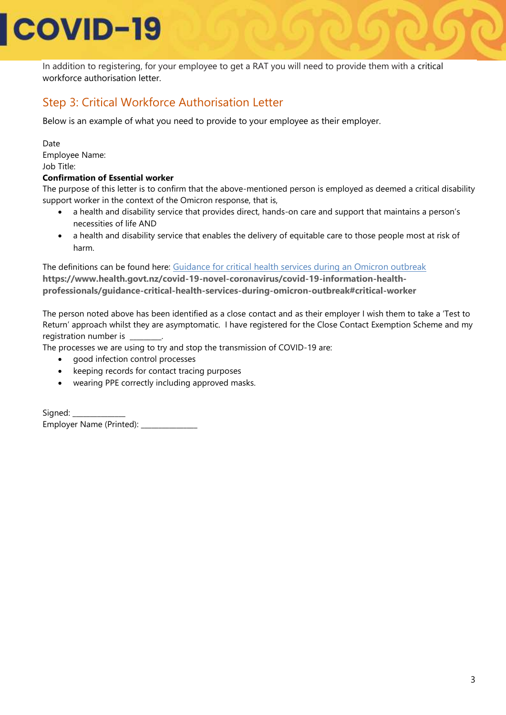## **COVID-19**

In addition to registering, for your employee to get a RAT you will need to provide them with a critical workforce authorisation letter.

#### Step 3: Critical Workforce Authorisation Letter

Below is an example of what you need to provide to your employee as their employer.

Date

Employee Name: Job Title:

#### **Confirmation of Essential worker**

The purpose of this letter is to confirm that the above-mentioned person is employed as deemed a critical disability support worker in the context of the Omicron response, that is,

- a health and disability service that provides direct, hands-on care and support that maintains a person's necessities of life AND
- a health and disability service that enables the delivery of equitable care to those people most at risk of harm.

The definitions can be found here: [Guidance for critical health services during an Omicron outbreak](https://www.health.govt.nz/covid-19-novel-coronavirus/covid-19-information-health-professionals/guidance-critical-health-services-during-omicron-outbreak#critical-worker) **[https://www.health.govt.nz/covid-19-novel-coronavirus/covid-19-information-health](https://www.health.govt.nz/covid-19-novel-coronavirus/covid-19-information-health-professionals/guidance-critical-health-services-during-omicron-outbreak#critical-worker)[professionals/guidance-critical-health-services-during-omicron-outbreak#critical-worker](https://www.health.govt.nz/covid-19-novel-coronavirus/covid-19-information-health-professionals/guidance-critical-health-services-during-omicron-outbreak#critical-worker)**

The person noted above has been identified as a close contact and as their employer I wish them to take a 'Test to Return' approach whilst they are asymptomatic. I have registered for the Close Contact Exemption Scheme and my registration number is

The processes we are using to try and stop the transmission of COVID-19 are:

- good infection control processes
- keeping records for contact tracing purposes
- wearing PPE correctly including approved masks.

Signed: Employer Name (Printed): \_\_\_\_\_\_\_\_\_\_\_\_\_\_\_\_